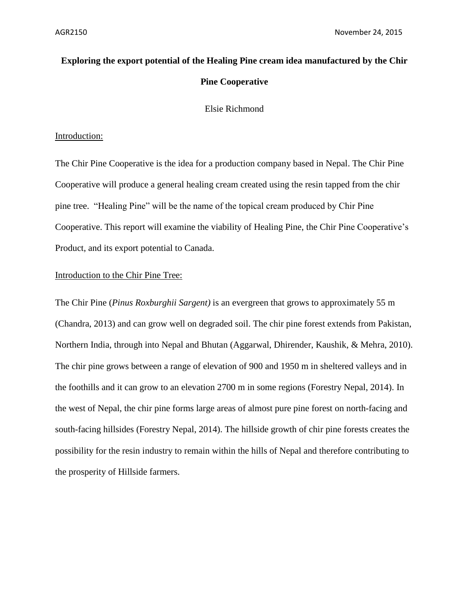# **Exploring the export potential of the Healing Pine cream idea manufactured by the Chir Pine Cooperative**

Elsie Richmond

# Introduction:

The Chir Pine Cooperative is the idea for a production company based in Nepal. The Chir Pine Cooperative will produce a general healing cream created using the resin tapped from the chir pine tree. "Healing Pine" will be the name of the topical cream produced by Chir Pine Cooperative. This report will examine the viability of Healing Pine, the Chir Pine Cooperative's Product, and its export potential to Canada.

# Introduction to the Chir Pine Tree:

The Chir Pine (*Pinus Roxburghii Sargent)* is an evergreen that grows to approximately 55 m (Chandra, 2013) and can grow well on degraded soil. The chir pine forest extends from Pakistan, Northern India, through into Nepal and Bhutan (Aggarwal, Dhirender, Kaushik, & Mehra, 2010). The chir pine grows between a range of elevation of 900 and 1950 m in sheltered valleys and in the foothills and it can grow to an elevation 2700 m in some regions (Forestry Nepal, 2014). In the west of Nepal, the chir pine forms large areas of almost pure pine forest on north-facing and south-facing hillsides (Forestry Nepal, 2014). The hillside growth of chir pine forests creates the possibility for the resin industry to remain within the hills of Nepal and therefore contributing to the prosperity of Hillside farmers.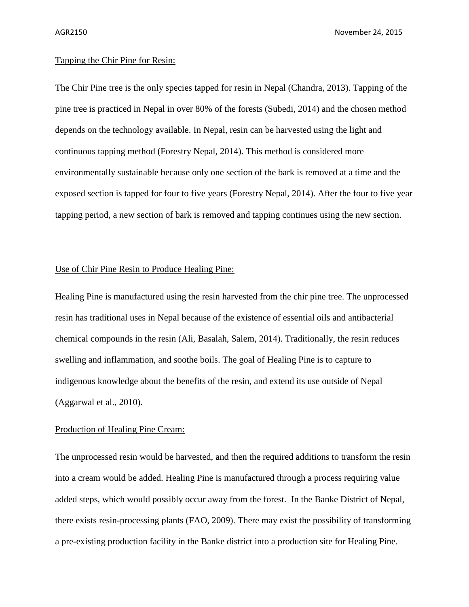AGR2150 November 24, 2015

# Tapping the Chir Pine for Resin:

The Chir Pine tree is the only species tapped for resin in Nepal (Chandra, 2013). Tapping of the pine tree is practiced in Nepal in over 80% of the forests (Subedi, 2014) and the chosen method depends on the technology available. In Nepal, resin can be harvested using the light and continuous tapping method (Forestry Nepal, 2014). This method is considered more environmentally sustainable because only one section of the bark is removed at a time and the exposed section is tapped for four to five years (Forestry Nepal, 2014). After the four to five year tapping period, a new section of bark is removed and tapping continues using the new section.

#### Use of Chir Pine Resin to Produce Healing Pine:

Healing Pine is manufactured using the resin harvested from the chir pine tree. The unprocessed resin has traditional uses in Nepal because of the existence of essential oils and antibacterial chemical compounds in the resin (Ali, Basalah, Salem, 2014). Traditionally, the resin reduces swelling and inflammation, and soothe boils. The goal of Healing Pine is to capture to indigenous knowledge about the benefits of the resin, and extend its use outside of Nepal (Aggarwal et al., 2010).

# Production of Healing Pine Cream:

The unprocessed resin would be harvested, and then the required additions to transform the resin into a cream would be added. Healing Pine is manufactured through a process requiring value added steps, which would possibly occur away from the forest. In the Banke District of Nepal, there exists resin-processing plants (FAO, 2009). There may exist the possibility of transforming a pre-existing production facility in the Banke district into a production site for Healing Pine.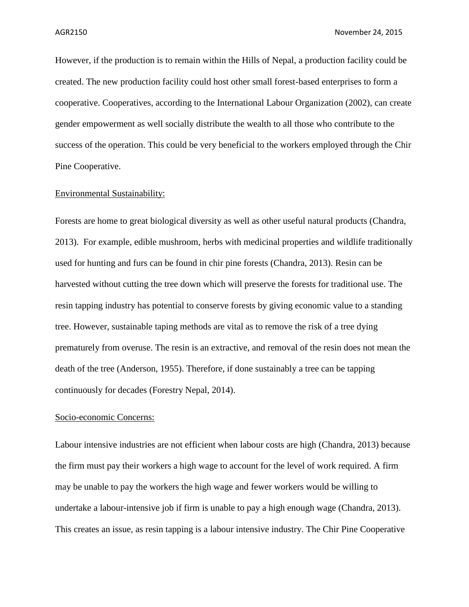However, if the production is to remain within the Hills of Nepal, a production facility could be created. The new production facility could host other small forest-based enterprises to form a cooperative. Cooperatives, according to the International Labour Organization (2002), can create gender empowerment as well socially distribute the wealth to all those who contribute to the success of the operation. This could be very beneficial to the workers employed through the Chir Pine Cooperative.

#### Environmental Sustainability:

Forests are home to great biological diversity as well as other useful natural products (Chandra, 2013). For example, edible mushroom, herbs with medicinal properties and wildlife traditionally used for hunting and furs can be found in chir pine forests (Chandra, 2013). Resin can be harvested without cutting the tree down which will preserve the forests for traditional use. The resin tapping industry has potential to conserve forests by giving economic value to a standing tree. However, sustainable taping methods are vital as to remove the risk of a tree dying prematurely from overuse. The resin is an extractive, and removal of the resin does not mean the death of the tree (Anderson, 1955). Therefore, if done sustainably a tree can be tapping continuously for decades (Forestry Nepal, 2014).

### Socio-economic Concerns:

Labour intensive industries are not efficient when labour costs are high (Chandra, 2013) because the firm must pay their workers a high wage to account for the level of work required. A firm may be unable to pay the workers the high wage and fewer workers would be willing to undertake a labour-intensive job if firm is unable to pay a high enough wage (Chandra, 2013). This creates an issue, as resin tapping is a labour intensive industry. The Chir Pine Cooperative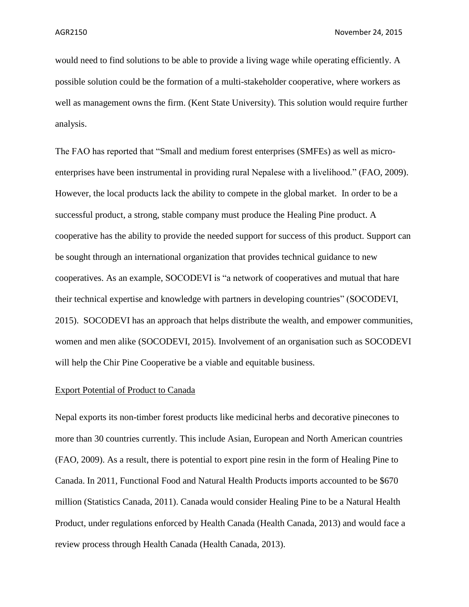would need to find solutions to be able to provide a living wage while operating efficiently. A possible solution could be the formation of a multi-stakeholder cooperative, where workers as well as management owns the firm. (Kent State University). This solution would require further analysis.

The FAO has reported that "Small and medium forest enterprises (SMFEs) as well as microenterprises have been instrumental in providing rural Nepalese with a livelihood." (FAO, 2009). However, the local products lack the ability to compete in the global market. In order to be a successful product, a strong, stable company must produce the Healing Pine product. A cooperative has the ability to provide the needed support for success of this product. Support can be sought through an international organization that provides technical guidance to new cooperatives. As an example, SOCODEVI is "a network of cooperatives and mutual that hare their technical expertise and knowledge with partners in developing countries" (SOCODEVI, 2015). SOCODEVI has an approach that helps distribute the wealth, and empower communities, women and men alike (SOCODEVI, 2015). Involvement of an organisation such as SOCODEVI will help the Chir Pine Cooperative be a viable and equitable business.

#### Export Potential of Product to Canada

Nepal exports its non-timber forest products like medicinal herbs and decorative pinecones to more than 30 countries currently. This include Asian, European and North American countries (FAO, 2009). As a result, there is potential to export pine resin in the form of Healing Pine to Canada. In 2011, Functional Food and Natural Health Products imports accounted to be \$670 million (Statistics Canada, 2011). Canada would consider Healing Pine to be a Natural Health Product, under regulations enforced by Health Canada (Health Canada, 2013) and would face a review process through Health Canada (Health Canada, 2013).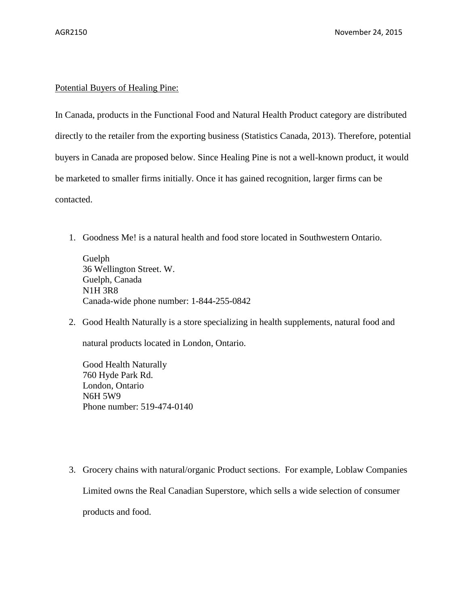# Potential Buyers of Healing Pine:

In Canada, products in the Functional Food and Natural Health Product category are distributed directly to the retailer from the exporting business (Statistics Canada, 2013). Therefore, potential buyers in Canada are proposed below. Since Healing Pine is not a well-known product, it would be marketed to smaller firms initially. Once it has gained recognition, larger firms can be contacted.

1. Goodness Me! is a natural health and food store located in Southwestern Ontario.

Guelph 36 Wellington Street. W. Guelph, Canada N1H 3R8 Canada-wide phone number: 1-844-255-0842

2. Good Health Naturally is a store specializing in health supplements, natural food and

natural products located in London, Ontario.

Good Health Naturally 760 Hyde Park Rd. London, Ontario N6H 5W9 Phone number: 519-474-0140

3. Grocery chains with natural/organic Product sections. For example, Loblaw Companies Limited owns the Real Canadian Superstore, which sells a wide selection of consumer products and food.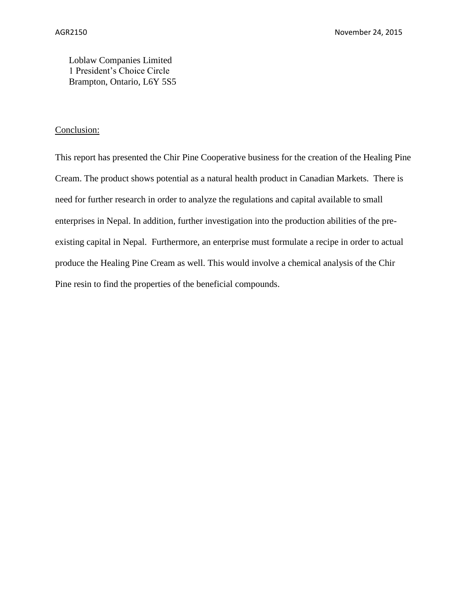Loblaw Companies Limited 1 President's Choice Circle Brampton, Ontario, L6Y 5S5

# Conclusion:

This report has presented the Chir Pine Cooperative business for the creation of the Healing Pine Cream. The product shows potential as a natural health product in Canadian Markets. There is need for further research in order to analyze the regulations and capital available to small enterprises in Nepal. In addition, further investigation into the production abilities of the preexisting capital in Nepal. Furthermore, an enterprise must formulate a recipe in order to actual produce the Healing Pine Cream as well. This would involve a chemical analysis of the Chir Pine resin to find the properties of the beneficial compounds.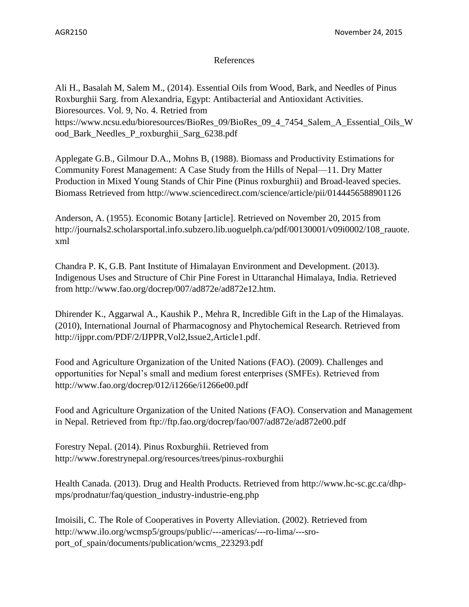# References

Ali H., Basalah M, Salem M., (2014). Essential Oils from Wood, Bark, and Needles of Pinus Roxburghii Sarg. from Alexandria, Egypt: Antibacterial and Antioxidant Activities. Bioresources. Vol. 9, No. 4. Retried from https://www.ncsu.edu/bioresources/BioRes\_09/BioRes\_09\_4\_7454\_Salem\_A\_Essential\_Oils\_W ood\_Bark\_Needles\_P\_roxburghii\_Sarg\_6238.pdf

Applegate G.B., Gilmour D.A., Mohns B, (1988). Biomass and Productivity Estimations for Community Forest Management: A Case Study from the Hills of Nepal—11. Dry Matter Production in Mixed Young Stands of Chir Pine (Pinus roxburghii) and Broad-leaved species. Biomass Retrieved from http://www.sciencedirect.com/science/article/pii/0144456588901126

Anderson, A. (1955). Economic Botany [article]. Retrieved on November 20, 2015 from http://journals2.scholarsportal.info.subzero.lib.uoguelph.ca/pdf/00130001/v09i0002/108\_rauote. xml

Chandra P. K, G.B. Pant Institute of Himalayan Environment and Development. (2013). Indigenous Uses and Structure of Chir Pine Forest in Uttaranchal Himalaya, India. Retrieved from http://www.fao.org/docrep/007/ad872e/ad872e12.htm.

Dhirender K., Aggarwal A., Kaushik P., Mehra R, Incredible Gift in the Lap of the Himalayas. (2010), International Journal of Pharmacognosy and Phytochemical Research. Retrieved from http://ijppr.com/PDF/2/IJPPR,Vol2,Issue2,Article1.pdf.

Food and Agriculture Organization of the United Nations (FAO). (2009). Challenges and opportunities for Nepal's small and medium forest enterprises (SMFEs). Retrieved from http://www.fao.org/docrep/012/i1266e/i1266e00.pdf

Food and Agriculture Organization of the United Nations (FAO). Conservation and Management in Nepal. Retrieved from ftp://ftp.fao.org/docrep/fao/007/ad872e/ad872e00.pdf

Forestry Nepal. (2014). Pinus Roxburghii. Retrieved from http://www.forestrynepal.org/resources/trees/pinus-roxburghii

Health Canada. (2013). Drug and Health Products. Retrieved from http://www.hc-sc.gc.ca/dhpmps/prodnatur/faq/question\_industry-industrie-eng.php

Imoisili, C. The Role of Cooperatives in Poverty Alleviation. (2002). Retrieved from http://www.ilo.org/wcmsp5/groups/public/---americas/---ro-lima/---sroport\_of\_spain/documents/publication/wcms\_223293.pdf